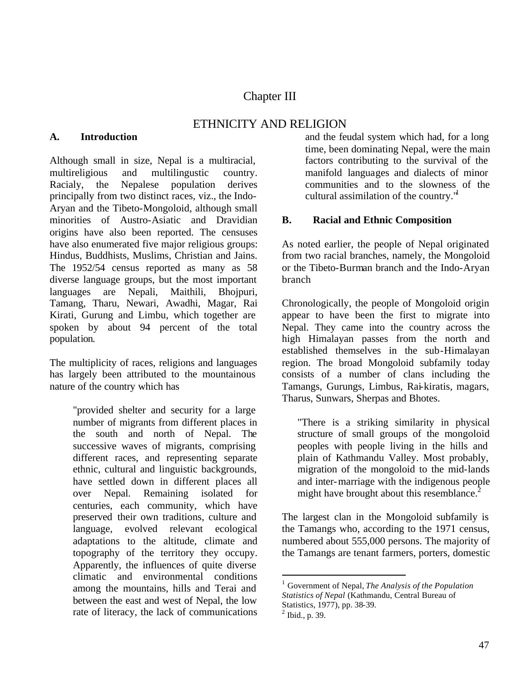# Chapter III

## ETHNICITY AND RELIGION

#### **A. Introduction**

Although small in size, Nepal is a multiracial, multireligious and multilingustic country. Racialy, the Nepalese population derives principally from two distinct races, viz., the Indo-Aryan and the Tibeto-Mongoloid, although small minorities of Austro-Asiatic and Dravidian origins have also been reported. The censuses have also enumerated five major religious groups: Hindus, Buddhists, Muslims, Christian and Jains. The 1952/54 census reported as many as 58 diverse language groups, but the most important languages are Nepali, Maithili, Bhojpuri, Tamang, Tharu, Newari, Awadhi, Magar, Rai Kirati, Gurung and Limbu, which together are spoken by about 94 percent of the total population.

The multiplicity of races, religions and languages has largely been attributed to the mountainous nature of the country which has

> "provided shelter and security for a large number of migrants from different places in the south and north of Nepal. The successive waves of migrants, comprising different races, and representing separate ethnic, cultural and linguistic backgrounds, have settled down in different places all over Nepal. Remaining isolated for centuries, each community, which have preserved their own traditions, culture and language, evolved relevant ecological adaptations to the altitude, climate and topography of the territory they occupy. Apparently, the influences of quite diverse climatic and environmental conditions among the mountains, hills and Terai and between the east and west of Nepal, the low rate of literacy, the lack of communications

and the feudal system which had, for a long time, been dominating Nepal, were the main factors contributing to the survival of the manifold languages and dialects of minor communities and to the slowness of the cultural assimilation of the country. $"$ 

### **B. Racial and Ethnic Composition**

As noted earlier, the people of Nepal originated from two racial branches, namely, the Mongoloid or the Tibeto-Burman branch and the Indo-Aryan branch

Chronologically, the people of Mongoloid origin appear to have been the first to migrate into Nepal. They came into the country across the high Himalayan passes from the north and established themselves in the sub-Himalayan region. The broad Mongoloid subfamily today consists of a number of clans including the Tamangs, Gurungs, Limbus, Rai-kiratis, magars, Tharus, Sunwars, Sherpas and Bhotes.

"There is a striking similarity in physical structure of small groups of the mongoloid peoples with people living in the hills and plain of Kathmandu Valley. Most probably, migration of the mongoloid to the mid-lands and inter-marriage with the indigenous people might have brought about this resemblance. $<sup>2</sup>$ </sup>

The largest clan in the Mongoloid subfamily is the Tamangs who, according to the 1971 census, numbered about 555,000 persons. The majority of the Tamangs are tenant farmers, porters, domestic

 $\overline{a}$ 

<sup>1</sup> Government of Nepal, *The Analysis of the Population Statistics of Nepal* (Kathmandu, Central Bureau of Statistics, 1977), pp. 38-39.

 $2$  Ibid., p. 39.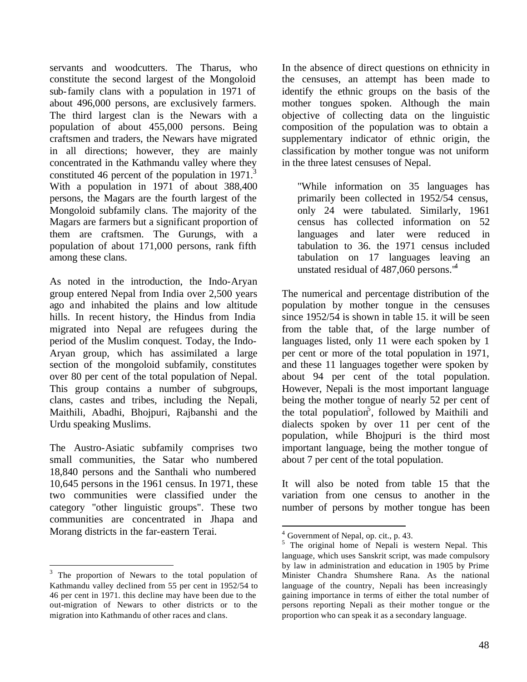servants and woodcutters. The Tharus, who constitute the second largest of the Mongoloid sub-family clans with a population in 1971 of about 496,000 persons, are exclusively farmers. The third largest clan is the Newars with a population of about 455,000 persons. Being craftsmen and traders, the Newars have migrated in all directions; however, they are mainly concentrated in the Kathmandu valley where they constituted 46 percent of the population in 1971.<sup>3</sup> With a population in 1971 of about 388,400 persons, the Magars are the fourth largest of the Mongoloid subfamily clans. The majority of the Magars are farmers but a significant proportion of them are craftsmen. The Gurungs, with a population of about 171,000 persons, rank fifth among these clans.

As noted in the introduction, the Indo-Aryan group entered Nepal from India over 2,500 years ago and inhabited the plains and low altitude hills. In recent history, the Hindus from India migrated into Nepal are refugees during the period of the Muslim conquest. Today, the Indo-Aryan group, which has assimilated a large section of the mongoloid subfamily, constitutes over 80 per cent of the total population of Nepal. This group contains a number of subgroups, clans, castes and tribes, including the Nepali, Maithili, Abadhi, Bhojpuri, Rajbanshi and the Urdu speaking Muslims.

The Austro-Asiatic subfamily comprises two small communities, the Satar who numbered 18,840 persons and the Santhali who numbered 10,645 persons in the 1961 census. In 1971, these two communities were classified under the category "other linguistic groups". These two communities are concentrated in Jhapa and Morang districts in the far-eastern Terai.

 $\overline{a}$ 

In the absence of direct questions on ethnicity in the censuses, an attempt has been made to identify the ethnic groups on the basis of the mother tongues spoken. Although the main objective of collecting data on the linguistic composition of the population was to obtain a supplementary indicator of ethnic origin, the classification by mother tongue was not uniform in the three latest censuses of Nepal.

"While information on 35 languages has primarily been collected in 1952/54 census, only 24 were tabulated. Similarly, 1961 census has collected information on 52 languages and later were reduced in tabulation to 36. the 1971 census included tabulation on 17 languages leaving an unstated residual of 487,060 persons."<sup>4</sup>

The numerical and percentage distribution of the population by mother tongue in the censuses since 1952/54 is shown in table 15. it will be seen from the table that, of the large number of languages listed, only 11 were each spoken by 1 per cent or more of the total population in 1971, and these 11 languages together were spoken by about 94 per cent of the total population. However, Nepali is the most important language being the mother tongue of nearly 52 per cent of the total population<sup>5</sup>, followed by Maithili and dialects spoken by over 11 per cent of the population, while Bhojpuri is the third most important language, being the mother tongue of about 7 per cent of the total population.

It will also be noted from table 15 that the variation from one census to another in the number of persons by mother tongue has been

 $\overline{a}$ 

<sup>&</sup>lt;sup>3</sup> The proportion of Newars to the total population of Kathmandu valley declined from 55 per cent in 1952/54 to 46 per cent in 1971. this decline may have been due to the out-migration of Newars to other districts or to the migration into Kathmandu of other races and clans.

<sup>&</sup>lt;sup>4</sup> Government of Nepal, op. cit., p. 43.

<sup>&</sup>lt;sup>5</sup> The original home of Nepali is western Nepal. This language, which uses Sanskrit script, was made compulsory by law in administration and education in 1905 by Prime Minister Chandra Shumshere Rana. As the national language of the country, Nepali has been increasingly gaining importance in terms of either the total number of persons reporting Nepali as their mother tongue or the proportion who can speak it as a secondary language.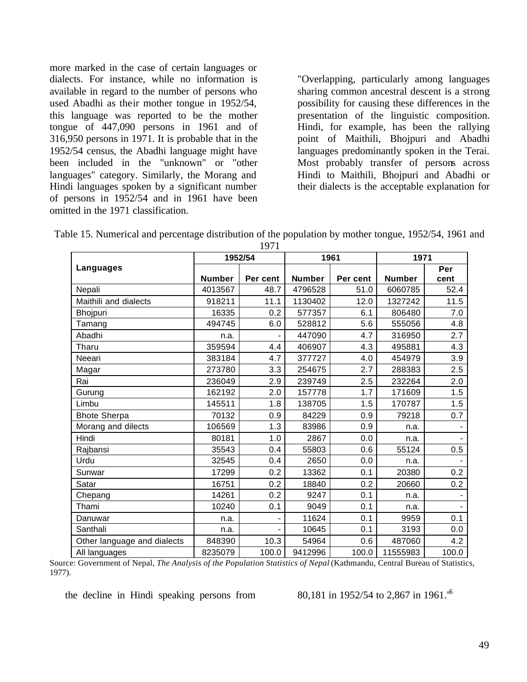more marked in the case of certain languages or dialects. For instance, while no information is available in regard to the number of persons who used Abadhi as their mother tongue in 1952/54, this language was reported to be the mother tongue of 447,090 persons in 1961 and of 316,950 persons in 1971. It is probable that in the 1952/54 census, the Abadhi language might have been included in the "unknown" or "other languages" category. Similarly, the Morang and Hindi languages spoken by a significant number of persons in 1952/54 and in 1961 have been omitted in the 1971 classification.

"Overlapping, particularly among languages sharing common ancestral descent is a strong possibility for causing these differences in the presentation of the linguistic composition. Hindi, for example, has been the rallying point of Maithili, Bhojpuri and Abadhi languages predominantly spoken in the Terai. Most probably transfer of persons across Hindi to Maithili, Bhojpuri and Abadhi or their dialects is the acceptable explanation for

| Table 15. Numerical and percentage distribution of the population by mother tongue, 1952/54, 1961 and |      |  |  |
|-------------------------------------------------------------------------------------------------------|------|--|--|
|                                                                                                       | 1071 |  |  |

| 17/1                        |               |          |               |          |               |       |  |  |  |  |
|-----------------------------|---------------|----------|---------------|----------|---------------|-------|--|--|--|--|
|                             |               | 1952/54  |               | 1961     | 1971          |       |  |  |  |  |
| Languages                   |               |          |               |          |               | Per   |  |  |  |  |
|                             | <b>Number</b> | Per cent | <b>Number</b> | Per cent | <b>Number</b> | cent  |  |  |  |  |
| Nepali                      | 4013567       | 48.7     | 4796528       | 51.0     | 6060785       | 52.4  |  |  |  |  |
| Maithili and dialects       | 918211        | 11.1     | 1130402       | 12.0     | 1327242       | 11.5  |  |  |  |  |
| <b>Bhojpuri</b>             | 16335         | 0.2      | 577357        | 6.1      | 806480        | 7.0   |  |  |  |  |
| Tamang                      | 494745        | 6.0      | 528812        | 5.6      | 555056        | 4.8   |  |  |  |  |
| Abadhi                      | n.a.          |          | 447090        | 4.7      | 316950        | 2.7   |  |  |  |  |
| Tharu                       | 359594        | 4.4      | 406907        | 4.3      | 495881        | 4.3   |  |  |  |  |
| Neeari                      | 383184        | 4.7      | 377727        | 4.0      | 454979        | 3.9   |  |  |  |  |
| Magar                       | 273780        | 3.3      | 254675        | 2.7      | 288383        | 2.5   |  |  |  |  |
| Rai                         | 236049        | 2.9      | 239749        | 2.5      | 232264        | 2.0   |  |  |  |  |
| Gurung                      | 162192        | 2.0      | 157778        | 1.7      | 171609        | 1.5   |  |  |  |  |
| Limbu                       | 145511        | 1.8      | 138705        | 1.5      | 170787        | 1.5   |  |  |  |  |
| <b>Bhote Sherpa</b>         | 70132         | 0.9      | 84229         | 0.9      | 79218         | 0.7   |  |  |  |  |
| Morang and dilects          | 106569        | 1.3      | 83986         | 0.9      | n.a.          |       |  |  |  |  |
| Hindi                       | 80181         | 1.0      | 2867          | 0.0      | n.a.          |       |  |  |  |  |
| Rajbansi                    | 35543         | 0.4      | 55803         | 0.6      | 55124         | 0.5   |  |  |  |  |
| Urdu                        | 32545         | 0.4      | 2650          | 0.0      | n.a.          |       |  |  |  |  |
| Sunwar                      | 17299         | 0.2      | 13362         | 0.1      | 20380         | 0.2   |  |  |  |  |
| Satar                       | 16751         | 0.2      | 18840         | 0.2      | 20660         | 0.2   |  |  |  |  |
| Chepang                     | 14261         | 0.2      | 9247          | 0.1      | n.a.          |       |  |  |  |  |
| Thami                       | 10240         | 0.1      | 9049          | 0.1      | n.a.          |       |  |  |  |  |
| Danuwar                     | n.a.          |          | 11624         | 0.1      | 9959          | 0.1   |  |  |  |  |
| Santhali                    | n.a.          |          | 10645         | 0.1      | 3193          | 0.0   |  |  |  |  |
| Other language and dialects | 848390        | 10.3     | 54964         | 0.6      | 487060        | 4.2   |  |  |  |  |
| All languages               | 8235079       | 100.0    | 9412996       | 100.0    | 11555983      | 100.0 |  |  |  |  |

Source: Government of Nepal, *The Analysis of the Population Statistics of Nepal* (Kathmandu, Central Bureau of Statistics, 1977).

the decline in Hindi speaking persons from  $80,181$  in 1952/54 to 2,867 in 1961.<sup>'6</sup>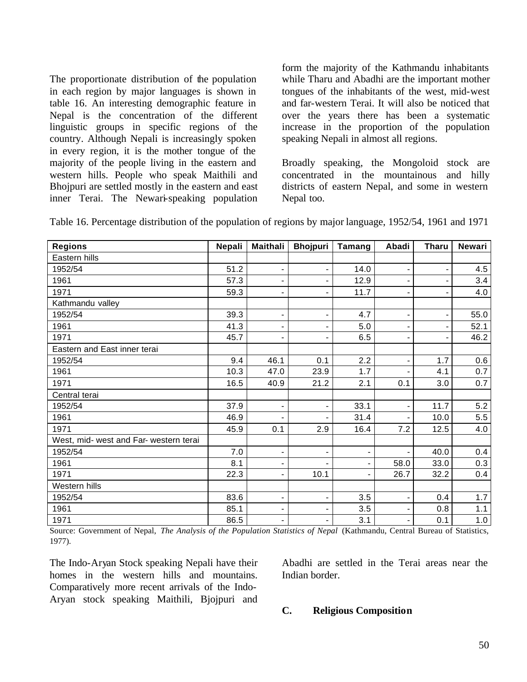The proportionate distribution of the population in each region by major languages is shown in table 16. An interesting demographic feature in Nepal is the concentration of the different linguistic groups in specific regions of the country. Although Nepali is increasingly spoken in every region, it is the mother tongue of the majority of the people living in the eastern and western hills. People who speak Maithili and Bhojpuri are settled mostly in the eastern and east inner Terai. The Newari-speaking population

form the majority of the Kathmandu inhabitants while Tharu and Abadhi are the important mother tongues of the inhabitants of the west, mid-west and far-western Terai. It will also be noticed that over the years there has been a systematic increase in the proportion of the population speaking Nepali in almost all regions.

Broadly speaking, the Mongoloid stock are concentrated in the mountainous and hilly districts of eastern Nepal, and some in western Nepal too.

| Table 16. Percentage distribution of the population of regions by major language, 1952/54, 1961 and 1971 |  |  |  |
|----------------------------------------------------------------------------------------------------------|--|--|--|
|                                                                                                          |  |  |  |

| <b>Regions</b>                         | Nepali | <b>Maithali</b>          | <b>Bhojpuri</b>          | Tamang                   | Abadi          | <b>Tharu</b> | <b>Newari</b> |
|----------------------------------------|--------|--------------------------|--------------------------|--------------------------|----------------|--------------|---------------|
| Eastern hills                          |        |                          |                          |                          |                |              |               |
| 1952/54                                | 51.2   | $\overline{\phantom{a}}$ | $\blacksquare$           | 14.0                     | $\blacksquare$ | -            | 4.5           |
| 1961                                   | 57.3   | $\blacksquare$           | $\overline{\phantom{a}}$ | 12.9                     |                |              | 3.4           |
| 1971                                   | 59.3   | $\overline{\phantom{a}}$ | $\blacksquare$           | 11.7                     | ۰              | -            | 4.0           |
| Kathmandu valley                       |        |                          |                          |                          |                |              |               |
| 1952/54                                | 39.3   | $\blacksquare$           |                          | 4.7                      |                | -            | 55.0          |
| 1961                                   | 41.3   |                          |                          | 5.0                      |                |              | 52.1          |
| 1971                                   | 45.7   |                          |                          | 6.5                      |                |              | 46.2          |
| Eastern and East inner terai           |        |                          |                          |                          |                |              |               |
| 1952/54                                | 9.4    | 46.1                     | 0.1                      | 2.2                      |                | 1.7          | 0.6           |
| 1961                                   | 10.3   | 47.0                     | 23.9                     | 1.7                      |                | 4.1          | 0.7           |
| 1971                                   | 16.5   | 40.9                     | 21.2                     | 2.1                      | 0.1            | 3.0          | 0.7           |
| Central terai                          |        |                          |                          |                          |                |              |               |
| 1952/54                                | 37.9   |                          |                          | 33.1                     |                | 11.7         | 5.2           |
| 1961                                   | 46.9   |                          |                          | 31.4                     |                | 10.0         | 5.5           |
| 1971                                   | 45.9   | 0.1                      | 2.9                      | 16.4                     | 7.2            | 12.5         | 4.0           |
| West, mid- west and Far- western terai |        |                          |                          |                          |                |              |               |
| 1952/54                                | 7.0    | $\overline{\phantom{a}}$ | $\overline{\phantom{a}}$ | $\blacksquare$           |                | 40.0         | 0.4           |
| 1961                                   | 8.1    | $\blacksquare$           |                          | $\overline{\phantom{0}}$ | 58.0           | 33.0         | 0.3           |
| 1971                                   | 22.3   | $\blacksquare$           | 10.1                     | $\blacksquare$           | 26.7           | 32.2         | 0.4           |
| Western hills                          |        |                          |                          |                          |                |              |               |
| 1952/54                                | 83.6   | $\blacksquare$           | $\overline{\phantom{a}}$ | 3.5                      | $\blacksquare$ | 0.4          | 1.7           |
| 1961                                   | 85.1   | $\blacksquare$           |                          | 3.5                      |                | 0.8          | 1.1           |
| 1971                                   | 86.5   | $\blacksquare$           |                          | 3.1                      |                | 0.1          | 1.0           |

Source: Government of Nepal, *The Analysis of the Population Statistics of Nepal* (Kathmandu, Central Bureau of Statistics, 1977).

The Indo-Aryan Stock speaking Nepali have their homes in the western hills and mountains. Comparatively more recent arrivals of the Indo-Aryan stock speaking Maithili, Bjojpuri and Abadhi are settled in the Terai areas near the Indian border.

#### **C. Religious Composition**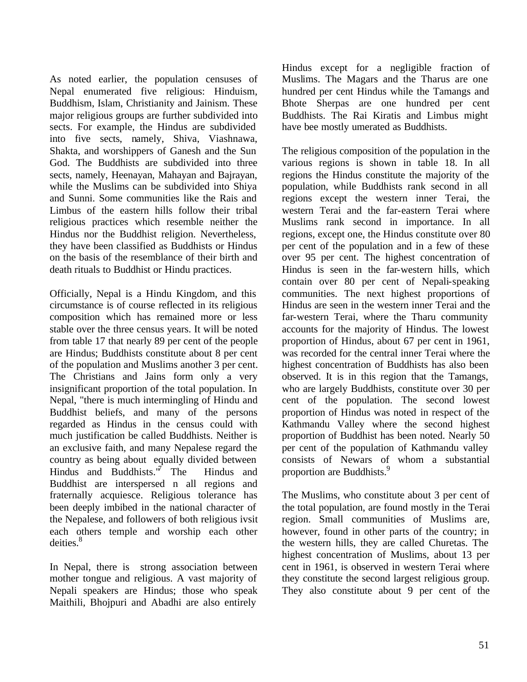As noted earlier, the population censuses of Nepal enumerated five religious: Hinduism, Buddhism, Islam, Christianity and Jainism. These major religious groups are further subdivided into sects. For example, the Hindus are subdivided into five sects, namely, Shiva, Viashnawa, Shakta, and worshippers of Ganesh and the Sun God. The Buddhists are subdivided into three sects, namely, Heenayan, Mahayan and Bajrayan, while the Muslims can be subdivided into Shiya and Sunni. Some communities like the Rais and Limbus of the eastern hills follow their tribal religious practices which resemble neither the Hindus nor the Buddhist religion. Nevertheless, they have been classified as Buddhists or Hindus on the basis of the resemblance of their birth and death rituals to Buddhist or Hindu practices.

Officially, Nepal is a Hindu Kingdom, and this circumstance is of course reflected in its religious composition which has remained more or less stable over the three census years. It will be noted from table 17 that nearly 89 per cent of the people are Hindus; Buddhists constitute about 8 per cent of the population and Muslims another 3 per cent. The Christians and Jains form only a very insignificant proportion of the total population. In Nepal, "there is much intermingling of Hindu and Buddhist beliefs, and many of the persons regarded as Hindus in the census could with much justification be called Buddhists. Neither is an exclusive faith, and many Nepalese regard the country as being about equally divided between Hindus and Buddhists. $\sqrt[n]{}$  The Hindus and Buddhist are interspersed n all regions and fraternally acquiesce. Religious tolerance has been deeply imbibed in the national character of the Nepalese, and followers of both religious ivsit each others temple and worship each other deities.<sup>8</sup>

In Nepal, there is strong association between mother tongue and religious. A vast majority of Nepali speakers are Hindus; those who speak Maithili, Bhojpuri and Abadhi are also entirely Hindus except for a negligible fraction of Muslims. The Magars and the Tharus are one hundred per cent Hindus while the Tamangs and Bhote Sherpas are one hundred per cent Buddhists. The Rai Kiratis and Limbus might have bee mostly umerated as Buddhists.

The religious composition of the population in the various regions is shown in table 18. In all regions the Hindus constitute the majority of the population, while Buddhists rank second in all regions except the western inner Terai, the western Terai and the far-eastern Terai where Muslims rank second in importance. In all regions, except one, the Hindus constitute over 80 per cent of the population and in a few of these over 95 per cent. The highest concentration of Hindus is seen in the far-western hills, which contain over 80 per cent of Nepali-speaking communities. The next highest proportions of Hindus are seen in the western inner Terai and the far-western Terai, where the Tharu community accounts for the majority of Hindus. The lowest proportion of Hindus, about 67 per cent in 1961, was recorded for the central inner Terai where the highest concentration of Buddhists has also been observed. It is in this region that the Tamangs, who are largely Buddhists, constitute over 30 per cent of the population. The second lowest proportion of Hindus was noted in respect of the Kathmandu Valley where the second highest proportion of Buddhist has been noted. Nearly 50 per cent of the population of Kathmandu valley consists of Newars of whom a substantial proportion are Buddhists.<sup>9</sup>

The Muslims, who constitute about 3 per cent of the total population, are found mostly in the Terai region. Small communities of Muslims are, however, found in other parts of the country; in the western hills, they are called Churetas. The highest concentration of Muslims, about 13 per cent in 1961, is observed in western Terai where they constitute the second largest religious group. They also constitute about 9 per cent of the